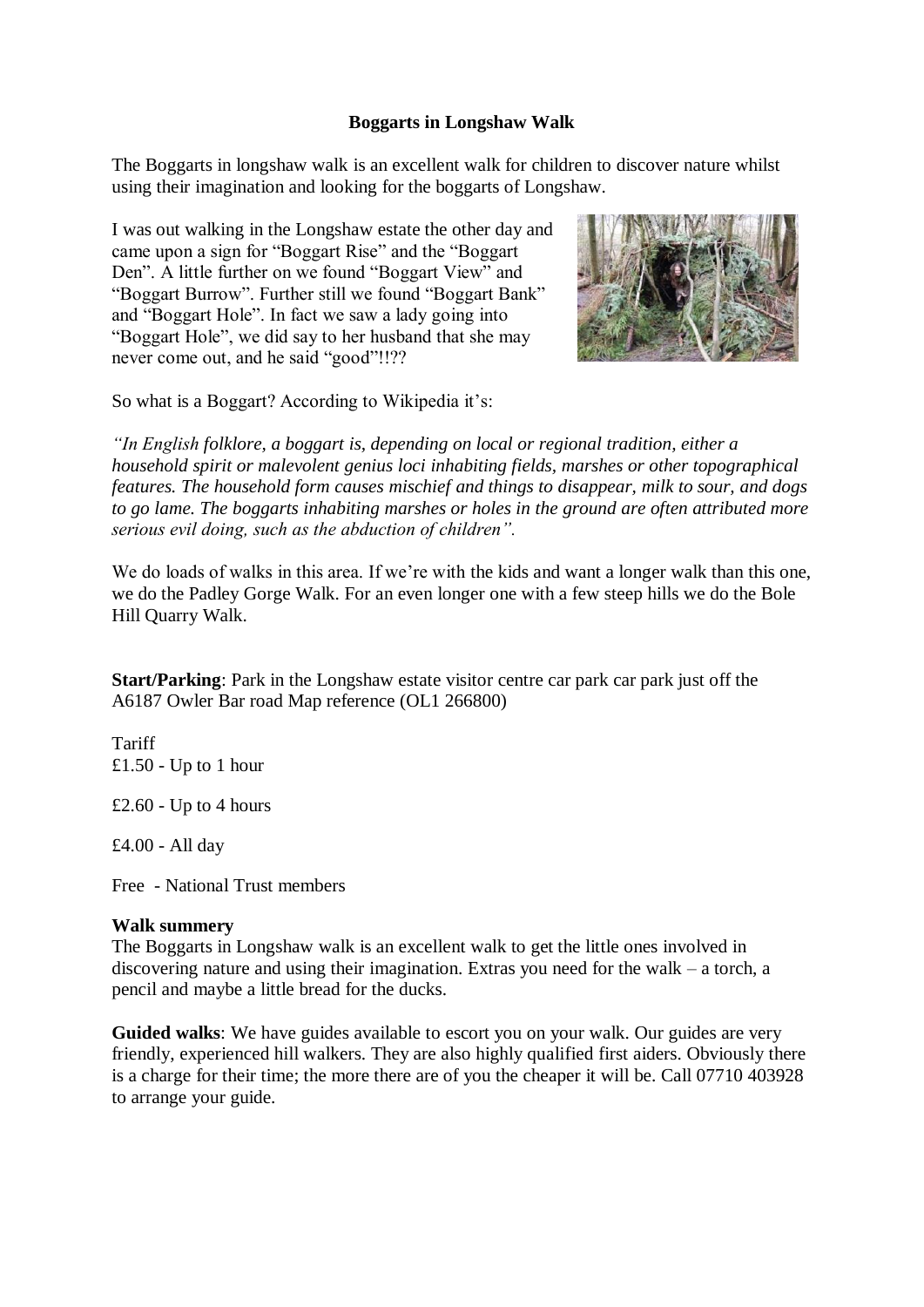## **Boggarts in Longshaw Walk**

The Boggarts in longshaw walk is an excellent walk for children to discover nature whilst using their imagination and looking for the boggarts of Longshaw.

I was out walking in the Longshaw estate the other day and came upon a sign for "Boggart Rise" and the "Boggart Den". A little further on we found "Boggart View" and "Boggart Burrow". Further still we found "Boggart Bank" and "Boggart Hole". In fact we saw a lady going into "Boggart Hole", we did say to her husband that she may never come out, and he said "good"!!??



So what is a Boggart? According to Wikipedia it's:

*"In English folklore, a boggart is, depending on local or regional tradition, either a household spirit or malevolent genius loci inhabiting fields, marshes or other topographical features. The household form causes mischief and things to disappear, milk to sour, and dogs to go lame. The boggarts inhabiting marshes or holes in the ground are often attributed more serious evil doing, such as the abduction of children".*

We do loads of walks in this area. If we're with the kids and want a longer walk than this one, we do the Padley Gorge Walk. For an even longer one with a few steep hills we do the Bole Hill Quarry Walk.

**Start/Parking**: Park in the Longshaw estate visitor centre car park car park just off the A6187 Owler Bar road Map reference (OL1 266800)

Tariff £1.50 - Up to 1 hour

£2.60 - Up to 4 hours

£4.00 - All day

Free - National Trust members

## **Walk summery**

The Boggarts in Longshaw walk is an excellent walk to get the little ones involved in discovering nature and using their imagination. Extras you need for the walk – a torch, a pencil and maybe a little bread for the ducks.

**Guided walks**: We have guides available to escort you on your walk. Our guides are very friendly, experienced hill walkers. They are also highly qualified first aiders. Obviously there is a charge for their time; the more there are of you the cheaper it will be. Call 07710 403928 to arrange your guide.